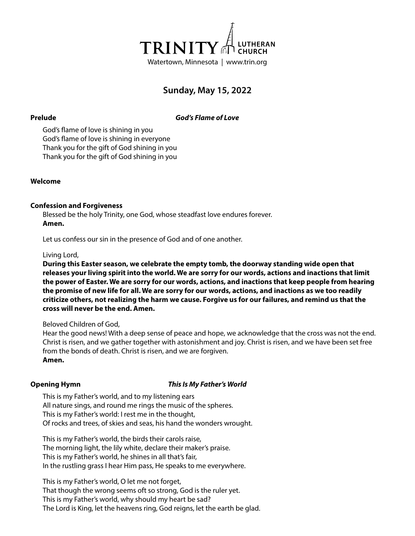

# **Sunday, May 15, 2022**

**Prelude** *God's Flame of Love*

God's flame of love is shining in you God's flame of love is shining in everyone Thank you for the gift of God shining in you Thank you for the gift of God shining in you

### **Welcome**

### **Confession and Forgiveness**

Blessed be the holy Trinity, one God, whose steadfast love endures forever. **Amen.**

Let us confess our sin in the presence of God and of one another.

### Living Lord,

**During this Easter season, we celebrate the empty tomb, the doorway standing wide open that releases your living spirit into the world. We are sorry for our words, actions and inactions that limit the power of Easter. We are sorry for our words, actions, and inactions that keep people from hearing the promise of new life for all. We are sorry for our words, actions, and inactions as we too readily criticize others, not realizing the harm we cause. Forgive us for our failures, and remind us that the cross will never be the end. Amen.**

Beloved Children of God,

Hear the good news! With a deep sense of peace and hope, we acknowledge that the cross was not the end. Christ is risen, and we gather together with astonishment and joy. Christ is risen, and we have been set free from the bonds of death. Christ is risen, and we are forgiven. **Amen.**

### **Opening Hymn** *This Is My Father's World*

This is my Father's world, and to my listening ears All nature sings, and round me rings the music of the spheres. This is my Father's world: I rest me in the thought, Of rocks and trees, of skies and seas, his hand the wonders wrought.

This is my Father's world, the birds their carols raise, The morning light, the lily white, declare their maker's praise. This is my Father's world, he shines in all that's fair, In the rustling grass I hear Him pass, He speaks to me everywhere.

This is my Father's world, O let me not forget, That though the wrong seems oft so strong, God is the ruler yet. This is my Father's world, why should my heart be sad? The Lord is King, let the heavens ring, God reigns, let the earth be glad.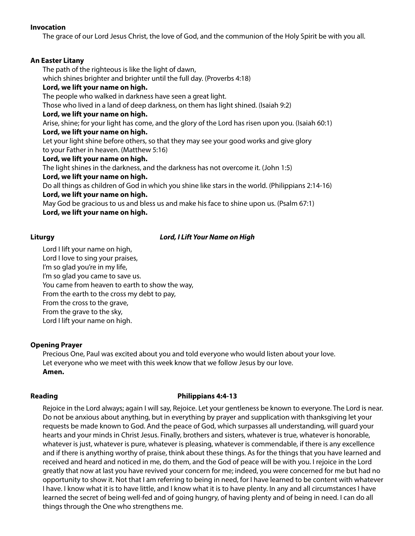### **Invocation**

The grace of our Lord Jesus Christ, the love of God, and the communion of the Holy Spirit be with you all.

## **An Easter Litany**

The path of the righteous is like the light of dawn,

which shines brighter and brighter until the full day. (Proverbs 4:18)

## **Lord, we lift your name on high.**

The people who walked in darkness have seen a great light.

Those who lived in a land of deep darkness, on them has light shined. (Isaiah 9:2)

## **Lord, we lift your name on high.**

Arise, shine; for your light has come, and the glory of the Lord has risen upon you. (Isaiah 60:1) **Lord, we lift your name on high.**

Let your light shine before others, so that they may see your good works and give glory to your Father in heaven. (Matthew 5:16)

## **Lord, we lift your name on high.**

The light shines in the darkness, and the darkness has not overcome it. (John 1:5)

**Lord, we lift your name on high.**

Do all things as children of God in which you shine like stars in the world. (Philippians 2:14-16) **Lord, we lift your name on high.**

May God be gracious to us and bless us and make his face to shine upon us. (Psalm 67:1) **Lord, we lift your name on high.**

## **Liturgy** *Lord, I Lift Your Name on High*

Lord I lift your name on high, Lord I love to sing your praises, I'm so glad you're in my life, I'm so glad you came to save us. You came from heaven to earth to show the way, From the earth to the cross my debt to pay, From the cross to the grave, From the grave to the sky, Lord I lift your name on high.

## **Opening Prayer**

Precious One, Paul was excited about you and told everyone who would listen about your love. Let everyone who we meet with this week know that we follow Jesus by our love. **Amen.**

## **Reading Philippians 4:4-13**

Rejoice in the Lord always; again I will say, Rejoice. Let your gentleness be known to everyone. The Lord is near. Do not be anxious about anything, but in everything by prayer and supplication with thanksgiving let your requests be made known to God. And the peace of God, which surpasses all understanding, will guard your hearts and your minds in Christ Jesus. Finally, brothers and sisters, whatever is true, whatever is honorable, whatever is just, whatever is pure, whatever is pleasing, whatever is commendable, if there is any excellence and if there is anything worthy of praise, think about these things. As for the things that you have learned and received and heard and noticed in me, do them, and the God of peace will be with you. I rejoice in the Lord greatly that now at last you have revived your concern for me; indeed, you were concerned for me but had no opportunity to show it. Not that I am referring to being in need, for I have learned to be content with whatever I have. I know what it is to have little, and I know what it is to have plenty. In any and all circumstances I have learned the secret of being well-fed and of going hungry, of having plenty and of being in need. I can do all things through the One who strengthens me.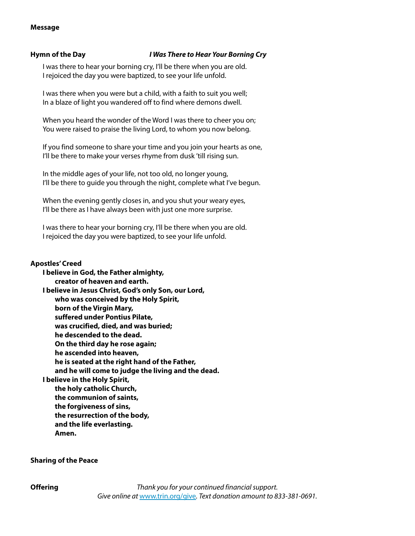### **Message**

### **Hymn of the Day** *I Was There to Hear Your Borning Cry*

I was there to hear your borning cry, I'll be there when you are old. I rejoiced the day you were baptized, to see your life unfold.

I was there when you were but a child, with a faith to suit you well; In a blaze of light you wandered off to find where demons dwell.

When you heard the wonder of the Word I was there to cheer you on; You were raised to praise the living Lord, to whom you now belong.

If you find someone to share your time and you join your hearts as one, I'll be there to make your verses rhyme from dusk 'till rising sun.

In the middle ages of your life, not too old, no longer young, I'll be there to guide you through the night, complete what I've begun.

When the evening gently closes in, and you shut your weary eyes, I'll be there as I have always been with just one more surprise.

I was there to hear your borning cry, I'll be there when you are old. I rejoiced the day you were baptized, to see your life unfold.

### **Apostles' Creed**

**I believe in God, the Father almighty, creator of heaven and earth. I believe in Jesus Christ, God's only Son, our Lord, who was conceived by the Holy Spirit, born of the Virgin Mary, suffered under Pontius Pilate, was crucified, died, and was buried; he descended to the dead. On the third day he rose again; he ascended into heaven, he is seated at the right hand of the Father, and he will come to judge the living and the dead. I believe in the Holy Spirit, the holy catholic Church, the communion of saints, the forgiveness of sins, the resurrection of the body, and the life everlasting. Amen.**

### **Sharing of the Peace**